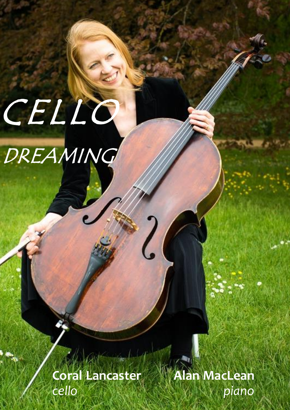# CELLO

DREAMING

**Coral Lancaster Coral Lancaster** *cello cello*

**Alan MacLean** *piano*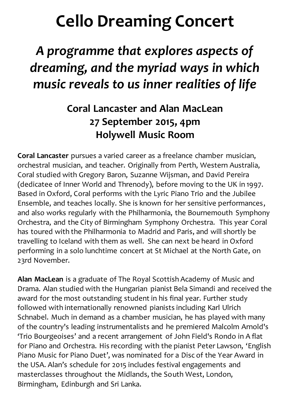# **Cello Dreaming Concert**

## *A programme that explores aspects of dreaming, and the myriad ways in which music reveals to us inner realities of life*

## **Coral Lancaster and Alan MacLean 27 September 2015, 4pm Holywell Music Room**

**Coral Lancaster** pursues a varied career as a freelance chamber musician, orchestral musician, and teacher. Originally from Perth, Western Australia, Coral studied with Gregory Baron, Suzanne Wijsman, and David Pereira (dedicatee of Inner World and Threnody), before moving to the UK in 1997. Based in Oxford, Coral performs with the Lyric Piano Trio and the Jubilee Ensemble, and teaches locally. She is known for her sensitive performances, and also works regularly with the Philharmonia, the Bournemouth Symphony Orchestra, and the City of Birmingham Symphony Orchestra. This year Coral has toured with the Philharmonia to Madrid and Paris, and will shortly be travelling to Iceland with them as well. She can next be heard in Oxford performing in a solo lunchtime concert at St Michael at the North Gate, on 23rd November.

**Alan MacLean** is a graduate of The Royal Scottish Academy of Music and Drama. Alan studied with the Hungarian pianist Bela Simandi and received the award for the most outstanding student in his final year. Further study followed with internationally renowned pianists including Karl Ulrich Schnabel. Much in demand as a chamber musician, he has played with many of the country's leading instrumentalists and he premiered Malcolm Arnold's 'Trio Bourgeoises' and a recent arrangement of John Field's Rondo in A flat for Piano and Orchestra. His recording with the pianist Peter Lawson, 'English Piano Music for Piano Duet', was nominated for a Disc of the Year Award in the USA. Alan's schedule for 2015 includes festival engagements and masterclasses throughout the Midlands, the South West, London, Birmingham, Edinburgh and Sri Lanka.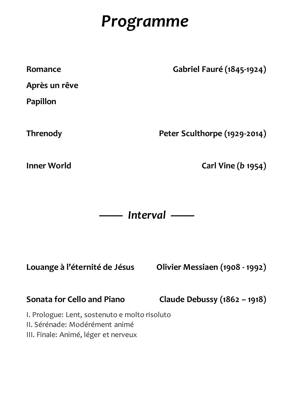# *Programme*

| Romance         | <b>Gabriel Fauré (1845-1924)</b> |
|-----------------|----------------------------------|
| Après un rêve   |                                  |
| <b>Papillon</b> |                                  |
| <b>Threnody</b> | Peter Sculthorpe (1929-2014)     |

**Inner World Carl Vine (***b* **1954)**

*—— Interval ——*

**Louange à l'éternité de Jésus Olivier Messiaen (1908 - 1992)**

**Sonata for Cello and Piano Claude Debussy (1862 – 1918)**

I. Prologue: Lent, sostenuto e molto risoluto

II. Sérénade: Modérément animé

III. Finale: Animé, léger et nerveux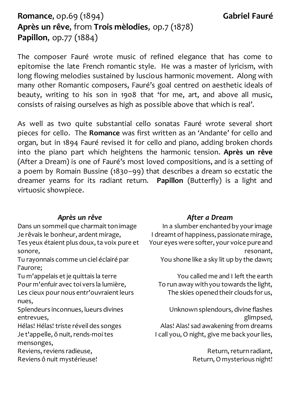## **Romance**, op.69 (1894) **Gabriel Fauré Après un rêve**, from **Trois mèlodies**, op.7 (1878) **Papillon**, op.77 (1884)

The composer Fauré wrote music of refined elegance that has come to epitomise the late French romantic style. He was a master of lyricism, with long flowing melodies sustained by luscious harmonic movement. Along with many other Romantic composers, Fauré's goal centred on aesthetic ideals of beauty, writing to his son in 1908 that 'for me, art, and above all music, consists of raising ourselves as high as possible above that which is real'.

As well as two quite substantial cello sonatas Fauré wrote several short pieces for cello. The **Romance** was first written as an 'Andante' for cello and organ, but in 1894 Fauré revised it for cello and piano, adding broken chords into the piano part which heightens the harmonic tension. **Après un rêve**  (After a Dream) is one of Fauré's most loved compositions, and is a setting of a poem by Romain Bussine (1830–99) that describes a dream so ecstatic the dreamer yearns for its radiant return. **Papillon** (Butterfly) is a light and virtuosic showpiece.

#### *Après un rêve*

Dans un sommeil que charmait ton image Je rêvais le bonheur, ardent mirage, Tes yeux étaient plus doux, ta voix pure et sonore,

Tu rayonnais comme un ciel éclairé par l'aurore;

Tu m'appelais et je quittais la terre Pour m'enfuir avec toi vers la lumière, Les cieux pour nous entr'ouvraient leurs nues,

Splendeurs inconnues, lueurs divines entrevues,

Hélas! Hélas! triste réveil des songes Je t'appelle, ô nuit, rends-moi tes mensonges,

Reviens, reviens radieuse, Reviens ô nuit mystérieuse!

#### *After a Dream*

In a slumber enchanted by your image I dreamt of happiness, passionate mirage, Your eyes were softer, your voice pure and resonant, You shone like a sky lit up by the dawn;

You called me and I left the earth To run away with you towards the light, The skies opened their clouds for us,

Unknown splendours, divine flashes glimpsed, Alas! Alas! sad awakening from dreams I call you, O night, give me back your lies,

> Return, return radiant, Return, O mysterious night!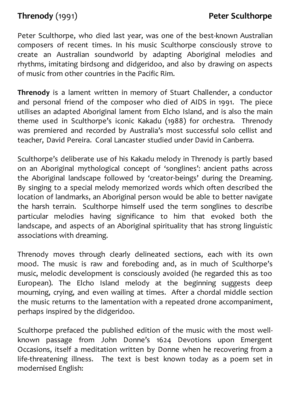Peter Sculthorpe, who died last year, was one of the best-known Australian composers of recent times. In his music Sculthorpe consciously strove to create an Australian soundworld by adapting Aboriginal melodies and rhythms, imitating birdsong and didgeridoo, and also by drawing on aspects of music from other countries in the Pacific Rim.

**Threnody** is a lament written in memory of Stuart Challender, a conductor and personal friend of the composer who died of AIDS in 1991. The piece utilises an adapted Aboriginal lament from Elcho Island, and is also the main theme used in Sculthorpe's iconic Kakadu (1988) for orchestra. Threnody was premiered and recorded by Australia's most successful solo cellist and teacher, David Pereira. Coral Lancaster studied under David in Canberra.

Sculthorpe's deliberate use of his Kakadu melody in Threnody is partly based on an Aboriginal mythological concept of 'songlines': ancient paths across the Aboriginal landscape followed by 'creator-beings' during the Dreaming. By singing to a special melody memorized words which often described the location of landmarks, an Aboriginal person would be able to better navigate the harsh terrain. Sculthorpe himself used the term songlines to describe particular melodies having significance to him that evoked both the landscape, and aspects of an Aboriginal spirituality that has strong linguistic associations with dreaming.

Threnody moves through clearly delineated sections, each with its own mood. The music is raw and foreboding and, as in much of Sculthorpe's music, melodic development is consciously avoided (he regarded this as too European). The Elcho Island melody at the beginning suggests deep mourning, crying, and even wailing at times. After a chordal middle section the music returns to the lamentation with a repeated drone accompaniment, perhaps inspired by the didgeridoo.

Sculthorpe prefaced the published edition of the music with the most wellknown passage from John Donne's 1624 Devotions upon Emergent Occasions, itself a meditation written by Donne when he recovering from a life-threatening illness. The text is best known today as a poem set in modernised English: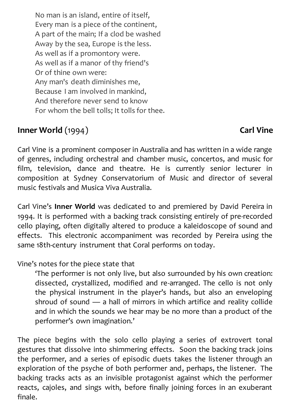No man is an island, entire of itself, Every man is a piece of the continent, A part of the main; If a clod be washed Away by the sea, Europe is the less. As well as if a promontory were. As well as if a manor of thy friend's Or of thine own were: Any man's death diminishes me, Because I am involved in mankind, And therefore never send to know For whom the bell tolls; It tolls for thee.

## **Inner World** (1994) **Carl Vine**

Carl Vine is a prominent composer in Australia and has written in a wide range of genres, including orchestral and chamber music, concertos, and music for film, television, dance and theatre. He is currently senior lecturer in composition at Sydney Conservatorium of Music and director of several music festivals and Musica Viva Australia.

Carl Vine's **Inner World** was dedicated to and premiered by David Pereira in 1994. It is performed with a backing track consisting entirely of pre-recorded cello playing, often digitally altered to produce a kaleidoscope of sound and effects. This electronic accompaniment was recorded by Pereira using the same 18th-century instrument that Coral performs on today.

## Vine's notes for the piece state that

'The performer is not only live, but also surrounded by his own creation: dissected, crystallized, modified and re-arranged. The cello is not only the physical instrument in the player's hands, but also an enveloping shroud of sound — a hall of mirrors in which artifice and reality collide and in which the sounds we hear may be no more than a product of the performer's own imagination.'

The piece begins with the solo cello playing a series of extrovert tonal gestures that dissolve into shimmering effects. Soon the backing track joins the performer, and a series of episodic duets takes the listener through an exploration of the psyche of both performer and, perhaps, the listener. The backing tracks acts as an invisible protagonist against which the performer reacts, cajoles, and sings with, before finally joining forces in an exuberant finale.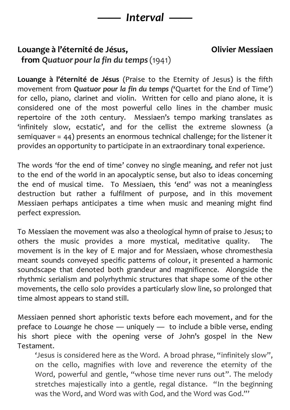

## **Louange à l'éternité de Jésus, Olivier Messiaen from** *Quatuor pour la fin du temps* (1941)

**Louange à l'éternité de Jésus** (Praise to the Eternity of Jesus) is the fifth movement from *Quatuor pour la fin du temps ('*Quartet for the End of Time') for cello, piano, clarinet and violin. Written for cello and piano alone, it is considered one of the most powerful cello lines in the chamber music repertoire of the 20th century. Messiaen's tempo marking translates as 'infinitely slow, ecstatic', and for the cellist the extreme slowness (a semiquaver = 44) presents an enormous technical challenge; for the listener it provides an opportunity to participate in an extraordinary tonal experience.

The words 'for the end of time' convey no single meaning, and refer not just to the end of the world in an apocalyptic sense, but also to ideas concerning the end of musical time. To Messiaen, this 'end' was not a meaningless destruction but rather a fulfilment of purpose, and in this movement Messiaen perhaps anticipates a time when music and meaning might find perfect expression.

To Messiaen the movement was also a theological hymn of praise to Jesus; to others the music provides a more mystical, meditative quality. The movement is in the key of E major and for Messiaen, whose chromesthesia meant sounds conveyed specific patterns of colour, it presented a harmonic soundscape that denoted both grandeur and magnificence. Alongside the rhythmic serialism and polyrhythmic structures that shape some of the other movements, the cello solo provides a particularly slow line, so prolonged that time almost appears to stand still.

Messiaen penned short aphoristic texts before each movement, and for the preface to *Louange* he chose — uniquely — to include a bible verse, ending his short piece with the opening verse of John's gospel in the New Testament.

'Jesus is considered here as the Word. A broad phrase, "infinitely slow" , on the cello, magnifies with love and reverence the eternity of the Word, powerful and gentle, "whose time never runs out". The melody stretches majestically into a gentle, regal distance. "In the beginning was the Word, and Word was with God, and the Word was God."'